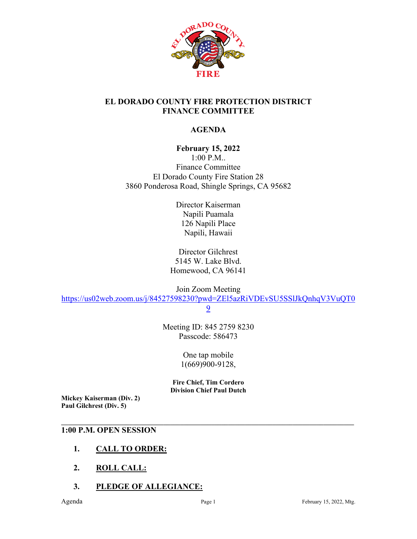

### **EL DORADO COUNTY FIRE PROTECTION DISTRICT FINANCE COMMITTEE**

## **AGENDA**

### **February 15, 2022**

1:00 P.M.. Finance Committee El Dorado County Fire Station 28 3860 Ponderosa Road, Shingle Springs, CA 95682

> Director Kaiserman Napili Puamala 126 Napili Place Napili, Hawaii

Director Gilchrest 5145 W. Lake Blvd. Homewood, CA 96141

Join Zoom Meeting

[https://us02web.zoom.us/j/84527598230?pwd=ZEl5azRiVDEvSU5SSlJkQnhqV3VuQT0](https://us02web.zoom.us/j/84527598230?pwd=ZEl5azRiVDEvSU5SSlJkQnhqV3VuQT09)

[9](https://us02web.zoom.us/j/84527598230?pwd=ZEl5azRiVDEvSU5SSlJkQnhqV3VuQT09)

Meeting ID: 845 2759 8230 Passcode: 586473

> One tap mobile 1(669)900-9128,

**Fire Chief, Tim Cordero Division Chief Paul Dutch**

**\_\_\_\_\_\_\_\_\_\_\_\_\_\_\_\_\_\_\_\_\_\_\_\_\_\_\_\_\_\_\_\_\_\_\_\_\_\_\_\_\_\_\_\_\_\_\_\_\_\_\_\_\_\_\_\_\_\_\_\_\_\_\_\_\_\_\_\_\_\_\_\_\_\_\_\_\_\_\_\_\_\_\_\_\_\_**

**Mickey Kaiserman (Div. 2) Paul Gilchrest (Div. 5)** 

#### **1:00 P.M. OPEN SESSION**

- **1. CALL TO ORDER:**
- **2. ROLL CALL:**
- **3. PLEDGE OF ALLEGIANCE:**